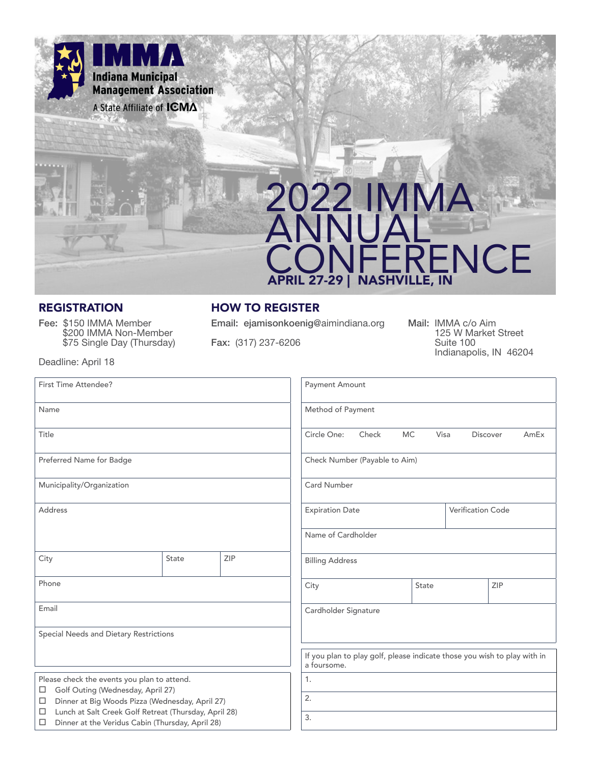

# 2022 IMMA ANNUAL ENCE APRIL 27-29 | NASHVILLE, IN

Fee: \$150 IMMA Member \$200 IMMA Non-Member \$75 Single Day (Thursday)

#### REGISTRATION HOW TO REGISTER

Email: ejamisonkoenig@aimindiana.org

Fax: (317) 237-6206

Mail: IMMA c/o Aim 125 W Market Street Suite 100 Indianapolis, IN 46204

Deadline: April 18

| First Time Attendee?                                                                                                |                      |                               | Payment Amount                                                                          |                        |                                        |              |                          |  |  |
|---------------------------------------------------------------------------------------------------------------------|----------------------|-------------------------------|-----------------------------------------------------------------------------------------|------------------------|----------------------------------------|--------------|--------------------------|--|--|
| Name                                                                                                                |                      |                               | Method of Payment                                                                       |                        |                                        |              |                          |  |  |
| Title                                                                                                               |                      |                               | Circle One:                                                                             | Check                  | MC.<br>Visa<br><b>Discover</b><br>AmEx |              |                          |  |  |
| Preferred Name for Badge                                                                                            |                      | Check Number (Payable to Aim) |                                                                                         |                        |                                        |              |                          |  |  |
| Municipality/Organization                                                                                           |                      |                               | <b>Card Number</b>                                                                      |                        |                                        |              |                          |  |  |
| <b>Address</b>                                                                                                      |                      |                               |                                                                                         | <b>Expiration Date</b> |                                        |              | <b>Verification Code</b> |  |  |
|                                                                                                                     |                      |                               | Name of Cardholder                                                                      |                        |                                        |              |                          |  |  |
| City                                                                                                                | State                | ZIP                           | <b>Billing Address</b>                                                                  |                        |                                        |              |                          |  |  |
| Phone                                                                                                               |                      |                               | City                                                                                    |                        |                                        | ZIP<br>State |                          |  |  |
| Email                                                                                                               | Cardholder Signature |                               |                                                                                         |                        |                                        |              |                          |  |  |
| Special Needs and Dietary Restrictions                                                                              |                      |                               |                                                                                         |                        |                                        |              |                          |  |  |
|                                                                                                                     |                      |                               | If you plan to play golf, please indicate those you wish to play with in<br>a foursome. |                        |                                        |              |                          |  |  |
| Please check the events you plan to attend.<br>Golf Outing (Wednesday, April 27)<br>□                               | 1.                   |                               |                                                                                         |                        |                                        |              |                          |  |  |
| Dinner at Big Woods Pizza (Wednesday, April 27)<br>□                                                                | 2.                   |                               |                                                                                         |                        |                                        |              |                          |  |  |
| Lunch at Salt Creek Golf Retreat (Thursday, April 28)<br>□<br>Dinner at the Veridus Cabin (Thursday, April 28)<br>□ | 3.                   |                               |                                                                                         |                        |                                        |              |                          |  |  |